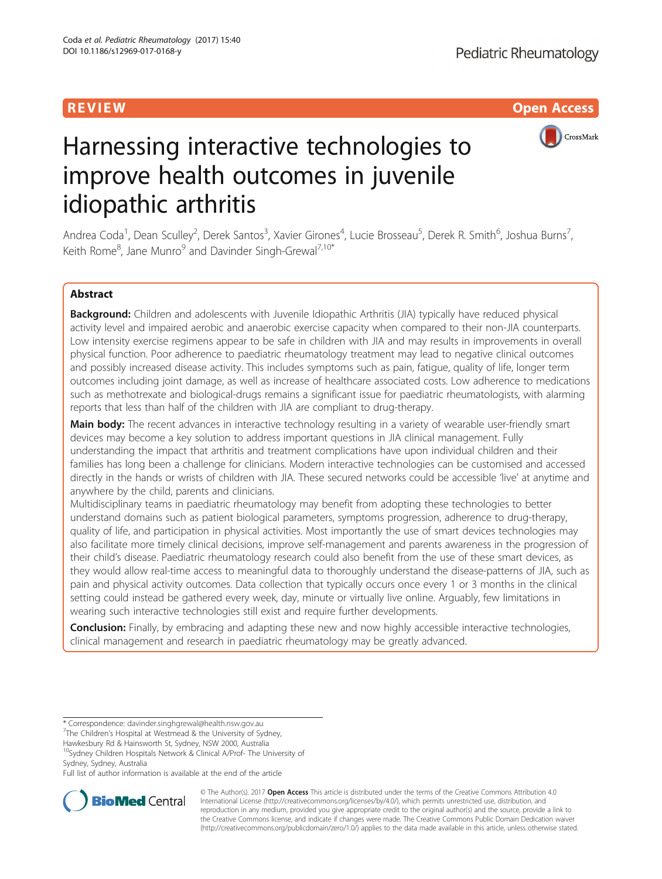R EVI EW Open Access



# Harnessing interactive technologies to improve health outcomes in juvenile idiopathic arthritis

Andrea Coda<sup>1</sup>, Dean Sculley<sup>2</sup>, Derek Santos<sup>3</sup>, Xavier Girones<sup>4</sup>, Lucie Brosseau<sup>5</sup>, Derek R. Smith<sup>6</sup>, Joshua Burns<sup>7</sup> , Keith Rome<sup>8</sup>, Jane Munro<sup>9</sup> and Davinder Singh-Grewal<sup>7,10\*</sup>

# Abstract

Background: Children and adolescents with Juvenile Idiopathic Arthritis (JIA) typically have reduced physical activity level and impaired aerobic and anaerobic exercise capacity when compared to their non-JIA counterparts. Low intensity exercise regimens appear to be safe in children with JIA and may results in improvements in overall physical function. Poor adherence to paediatric rheumatology treatment may lead to negative clinical outcomes and possibly increased disease activity. This includes symptoms such as pain, fatigue, quality of life, longer term outcomes including joint damage, as well as increase of healthcare associated costs. Low adherence to medications such as methotrexate and biological-drugs remains a significant issue for paediatric rheumatologists, with alarming reports that less than half of the children with JIA are compliant to drug-therapy.

Main body: The recent advances in interactive technology resulting in a variety of wearable user-friendly smart devices may become a key solution to address important questions in JIA clinical management. Fully understanding the impact that arthritis and treatment complications have upon individual children and their families has long been a challenge for clinicians. Modern interactive technologies can be customised and accessed directly in the hands or wrists of children with JIA. These secured networks could be accessible 'live' at anytime and anywhere by the child, parents and clinicians.

Multidisciplinary teams in paediatric rheumatology may benefit from adopting these technologies to better understand domains such as patient biological parameters, symptoms progression, adherence to drug-therapy, quality of life, and participation in physical activities. Most importantly the use of smart devices technologies may also facilitate more timely clinical decisions, improve self-management and parents awareness in the progression of their child's disease. Paediatric rheumatology research could also benefit from the use of these smart devices, as they would allow real-time access to meaningful data to thoroughly understand the disease-patterns of JIA, such as pain and physical activity outcomes. Data collection that typically occurs once every 1 or 3 months in the clinical setting could instead be gathered every week, day, minute or virtually live online. Arguably, few limitations in wearing such interactive technologies still exist and require further developments.

**Conclusion:** Finally, by embracing and adapting these new and now highly accessible interactive technologies, clinical management and research in paediatric rheumatology may be greatly advanced.

The Children's Hospital at Westmead & the University of Sydney,

Hawkesbury Rd & Hainsworth St, Sydney, NSW 2000, Australia

<sup>10</sup>Sydney Children Hospitals Network & Clinical A/Prof- The University of Sydney, Sydney, Australia

Full list of author information is available at the end of the article



© The Author(s). 2017 **Open Access** This article is distributed under the terms of the Creative Commons Attribution 4.0 International License [\(http://creativecommons.org/licenses/by/4.0/](http://creativecommons.org/licenses/by/4.0/)), which permits unrestricted use, distribution, and reproduction in any medium, provided you give appropriate credit to the original author(s) and the source, provide a link to the Creative Commons license, and indicate if changes were made. The Creative Commons Public Domain Dedication waiver [\(http://creativecommons.org/publicdomain/zero/1.0/](http://creativecommons.org/publicdomain/zero/1.0/)) applies to the data made available in this article, unless otherwise stated.

<sup>\*</sup> Correspondence: [davinder.singhgrewal@health.nsw.gov.au](mailto:davinder.singhgrewal@health.nsw.gov.au) <sup>7</sup>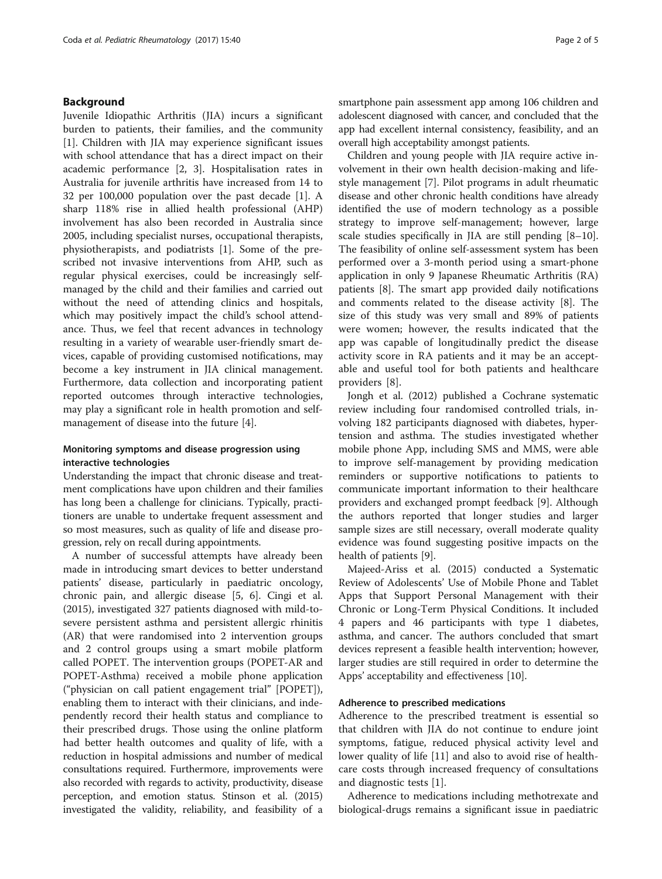# Background

Juvenile Idiopathic Arthritis (JIA) incurs a significant burden to patients, their families, and the community [[1\]](#page-4-0). Children with JIA may experience significant issues with school attendance that has a direct impact on their academic performance [\[2](#page-4-0), [3\]](#page-4-0). Hospitalisation rates in Australia for juvenile arthritis have increased from 14 to 32 per 100,000 population over the past decade [\[1\]](#page-4-0). A sharp 118% rise in allied health professional (AHP) involvement has also been recorded in Australia since 2005, including specialist nurses, occupational therapists, physiotherapists, and podiatrists [\[1](#page-4-0)]. Some of the prescribed not invasive interventions from AHP, such as regular physical exercises, could be increasingly selfmanaged by the child and their families and carried out without the need of attending clinics and hospitals, which may positively impact the child's school attendance. Thus, we feel that recent advances in technology resulting in a variety of wearable user-friendly smart devices, capable of providing customised notifications, may become a key instrument in JIA clinical management. Furthermore, data collection and incorporating patient reported outcomes through interactive technologies, may play a significant role in health promotion and selfmanagement of disease into the future [[4\]](#page-4-0).

# Monitoring symptoms and disease progression using interactive technologies

Understanding the impact that chronic disease and treatment complications have upon children and their families has long been a challenge for clinicians. Typically, practitioners are unable to undertake frequent assessment and so most measures, such as quality of life and disease progression, rely on recall during appointments.

A number of successful attempts have already been made in introducing smart devices to better understand patients' disease, particularly in paediatric oncology, chronic pain, and allergic disease [[5, 6\]](#page-4-0). Cingi et al. (2015), investigated 327 patients diagnosed with mild-tosevere persistent asthma and persistent allergic rhinitis (AR) that were randomised into 2 intervention groups and 2 control groups using a smart mobile platform called POPET. The intervention groups (POPET-AR and POPET-Asthma) received a mobile phone application ("physician on call patient engagement trial" [POPET]), enabling them to interact with their clinicians, and independently record their health status and compliance to their prescribed drugs. Those using the online platform had better health outcomes and quality of life, with a reduction in hospital admissions and number of medical consultations required. Furthermore, improvements were also recorded with regards to activity, productivity, disease perception, and emotion status. Stinson et al. (2015) investigated the validity, reliability, and feasibility of a smartphone pain assessment app among 106 children and adolescent diagnosed with cancer, and concluded that the app had excellent internal consistency, feasibility, and an overall high acceptability amongst patients.

Children and young people with JIA require active involvement in their own health decision-making and lifestyle management [\[7\]](#page-4-0). Pilot programs in adult rheumatic disease and other chronic health conditions have already identified the use of modern technology as a possible strategy to improve self-management; however, large scale studies specifically in JIA are still pending [[8](#page-4-0)–[10](#page-4-0)]. The feasibility of online self-assessment system has been performed over a 3-month period using a smart-phone application in only 9 Japanese Rheumatic Arthritis (RA) patients [\[8](#page-4-0)]. The smart app provided daily notifications and comments related to the disease activity [\[8](#page-4-0)]. The size of this study was very small and 89% of patients were women; however, the results indicated that the app was capable of longitudinally predict the disease activity score in RA patients and it may be an acceptable and useful tool for both patients and healthcare providers [[8\]](#page-4-0).

Jongh et al. (2012) published a Cochrane systematic review including four randomised controlled trials, involving 182 participants diagnosed with diabetes, hypertension and asthma. The studies investigated whether mobile phone App, including SMS and MMS, were able to improve self-management by providing medication reminders or supportive notifications to patients to communicate important information to their healthcare providers and exchanged prompt feedback [[9\]](#page-4-0). Although the authors reported that longer studies and larger sample sizes are still necessary, overall moderate quality evidence was found suggesting positive impacts on the health of patients [\[9\]](#page-4-0).

Majeed-Ariss et al. (2015) conducted a Systematic Review of Adolescents' Use of Mobile Phone and Tablet Apps that Support Personal Management with their Chronic or Long-Term Physical Conditions. It included 4 papers and 46 participants with type 1 diabetes, asthma, and cancer. The authors concluded that smart devices represent a feasible health intervention; however, larger studies are still required in order to determine the Apps' acceptability and effectiveness [\[10\]](#page-4-0).

# Adherence to prescribed medications

Adherence to the prescribed treatment is essential so that children with JIA do not continue to endure joint symptoms, fatigue, reduced physical activity level and lower quality of life [\[11\]](#page-4-0) and also to avoid rise of healthcare costs through increased frequency of consultations and diagnostic tests [\[1](#page-4-0)].

Adherence to medications including methotrexate and biological-drugs remains a significant issue in paediatric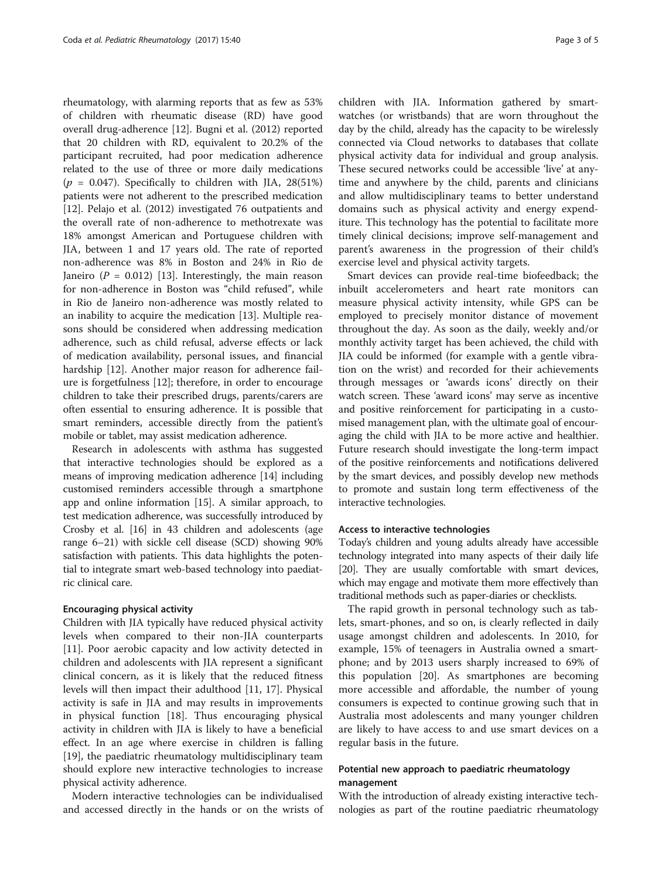rheumatology, with alarming reports that as few as 53% of children with rheumatic disease (RD) have good overall drug-adherence [[12\]](#page-4-0). Bugni et al. (2012) reported that 20 children with RD, equivalent to 20.2% of the participant recruited, had poor medication adherence related to the use of three or more daily medications  $(p = 0.047)$ . Specifically to children with JIA, 28(51%) patients were not adherent to the prescribed medication [[12\]](#page-4-0). Pelajo et al. (2012) investigated 76 outpatients and the overall rate of non-adherence to methotrexate was 18% amongst American and Portuguese children with JIA, between 1 and 17 years old. The rate of reported non-adherence was 8% in Boston and 24% in Rio de Janeiro ( $P = 0.012$ ) [[13\]](#page-4-0). Interestingly, the main reason for non-adherence in Boston was "child refused", while in Rio de Janeiro non-adherence was mostly related to an inability to acquire the medication [\[13\]](#page-4-0). Multiple reasons should be considered when addressing medication adherence, such as child refusal, adverse effects or lack of medication availability, personal issues, and financial hardship [\[12\]](#page-4-0). Another major reason for adherence failure is forgetfulness [[12\]](#page-4-0); therefore, in order to encourage children to take their prescribed drugs, parents/carers are often essential to ensuring adherence. It is possible that smart reminders, accessible directly from the patient's mobile or tablet, may assist medication adherence.

Research in adolescents with asthma has suggested that interactive technologies should be explored as a means of improving medication adherence [\[14\]](#page-4-0) including customised reminders accessible through a smartphone app and online information [\[15\]](#page-4-0). A similar approach, to test medication adherence, was successfully introduced by Crosby et al. [[16](#page-4-0)] in 43 children and adolescents (age range 6–21) with sickle cell disease (SCD) showing 90% satisfaction with patients. This data highlights the potential to integrate smart web-based technology into paediatric clinical care.

# Encouraging physical activity

Children with JIA typically have reduced physical activity levels when compared to their non-JIA counterparts [[11\]](#page-4-0). Poor aerobic capacity and low activity detected in children and adolescents with JIA represent a significant clinical concern, as it is likely that the reduced fitness levels will then impact their adulthood [[11, 17\]](#page-4-0). Physical activity is safe in JIA and may results in improvements in physical function [\[18](#page-4-0)]. Thus encouraging physical activity in children with JIA is likely to have a beneficial effect. In an age where exercise in children is falling [[19\]](#page-4-0), the paediatric rheumatology multidisciplinary team should explore new interactive technologies to increase physical activity adherence.

Modern interactive technologies can be individualised and accessed directly in the hands or on the wrists of children with JIA. Information gathered by smartwatches (or wristbands) that are worn throughout the day by the child, already has the capacity to be wirelessly connected via Cloud networks to databases that collate physical activity data for individual and group analysis. These secured networks could be accessible 'live' at anytime and anywhere by the child, parents and clinicians and allow multidisciplinary teams to better understand domains such as physical activity and energy expenditure. This technology has the potential to facilitate more timely clinical decisions; improve self-management and parent's awareness in the progression of their child's exercise level and physical activity targets.

Smart devices can provide real-time biofeedback; the inbuilt accelerometers and heart rate monitors can measure physical activity intensity, while GPS can be employed to precisely monitor distance of movement throughout the day. As soon as the daily, weekly and/or monthly activity target has been achieved, the child with JIA could be informed (for example with a gentle vibration on the wrist) and recorded for their achievements through messages or 'awards icons' directly on their watch screen. These 'award icons' may serve as incentive and positive reinforcement for participating in a customised management plan, with the ultimate goal of encouraging the child with JIA to be more active and healthier. Future research should investigate the long-term impact of the positive reinforcements and notifications delivered by the smart devices, and possibly develop new methods to promote and sustain long term effectiveness of the interactive technologies.

### Access to interactive technologies

Today's children and young adults already have accessible technology integrated into many aspects of their daily life [[20](#page-4-0)]. They are usually comfortable with smart devices, which may engage and motivate them more effectively than traditional methods such as paper-diaries or checklists.

The rapid growth in personal technology such as tablets, smart-phones, and so on, is clearly reflected in daily usage amongst children and adolescents. In 2010, for example, 15% of teenagers in Australia owned a smartphone; and by 2013 users sharply increased to 69% of this population [\[20](#page-4-0)]. As smartphones are becoming more accessible and affordable, the number of young consumers is expected to continue growing such that in Australia most adolescents and many younger children are likely to have access to and use smart devices on a regular basis in the future.

# Potential new approach to paediatric rheumatology management

With the introduction of already existing interactive technologies as part of the routine paediatric rheumatology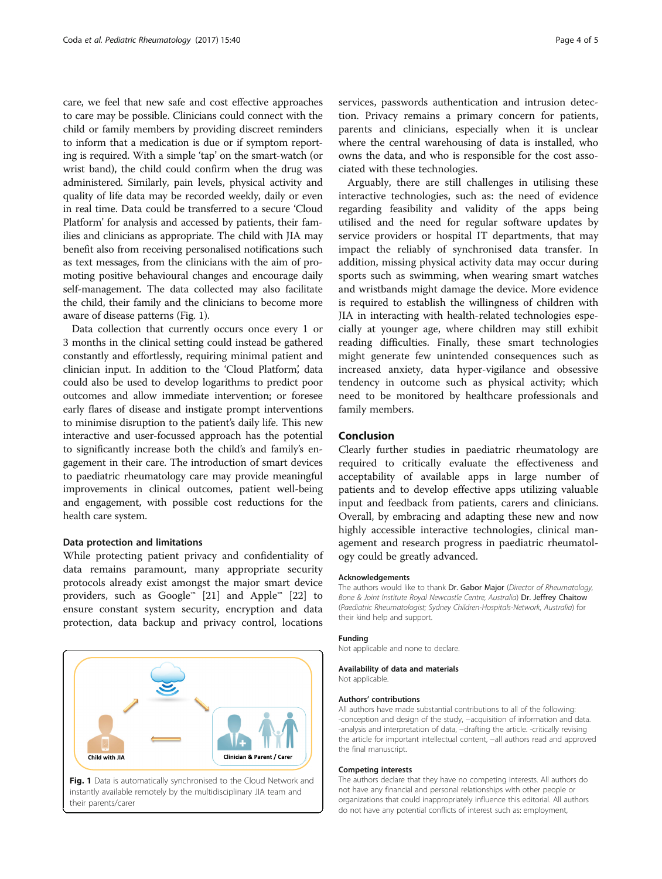care, we feel that new safe and cost effective approaches to care may be possible. Clinicians could connect with the child or family members by providing discreet reminders to inform that a medication is due or if symptom reporting is required. With a simple 'tap' on the smart-watch (or wrist band), the child could confirm when the drug was administered. Similarly, pain levels, physical activity and quality of life data may be recorded weekly, daily or even in real time. Data could be transferred to a secure 'Cloud Platform' for analysis and accessed by patients, their families and clinicians as appropriate. The child with JIA may benefit also from receiving personalised notifications such as text messages, from the clinicians with the aim of promoting positive behavioural changes and encourage daily self-management. The data collected may also facilitate the child, their family and the clinicians to become more aware of disease patterns (Fig. 1).

Data collection that currently occurs once every 1 or 3 months in the clinical setting could instead be gathered constantly and effortlessly, requiring minimal patient and clinician input. In addition to the 'Cloud Platform', data could also be used to develop logarithms to predict poor outcomes and allow immediate intervention; or foresee early flares of disease and instigate prompt interventions to minimise disruption to the patient's daily life. This new interactive and user-focussed approach has the potential to significantly increase both the child's and family's engagement in their care. The introduction of smart devices to paediatric rheumatology care may provide meaningful improvements in clinical outcomes, patient well-being and engagement, with possible cost reductions for the health care system.

### Data protection and limitations

While protecting patient privacy and confidentiality of data remains paramount, many appropriate security protocols already exist amongst the major smart device providers, such as Google™ [\[21\]](#page-4-0) and Apple™ [\[22](#page-4-0)] to ensure constant system security, encryption and data protection, data backup and privacy control, locations



services, passwords authentication and intrusion detection. Privacy remains a primary concern for patients, parents and clinicians, especially when it is unclear where the central warehousing of data is installed, who owns the data, and who is responsible for the cost associated with these technologies.

Arguably, there are still challenges in utilising these interactive technologies, such as: the need of evidence regarding feasibility and validity of the apps being utilised and the need for regular software updates by service providers or hospital IT departments, that may impact the reliably of synchronised data transfer. In addition, missing physical activity data may occur during sports such as swimming, when wearing smart watches and wristbands might damage the device. More evidence is required to establish the willingness of children with JIA in interacting with health-related technologies especially at younger age, where children may still exhibit reading difficulties. Finally, these smart technologies might generate few unintended consequences such as increased anxiety, data hyper-vigilance and obsessive tendency in outcome such as physical activity; which need to be monitored by healthcare professionals and family members.

# Conclusion

Clearly further studies in paediatric rheumatology are required to critically evaluate the effectiveness and acceptability of available apps in large number of patients and to develop effective apps utilizing valuable input and feedback from patients, carers and clinicians. Overall, by embracing and adapting these new and now highly accessible interactive technologies, clinical management and research progress in paediatric rheumatology could be greatly advanced.

#### Acknowledgements

The authors would like to thank Dr. Gabor Major (Director of Rheumatology, Bone & Joint Institute Royal Newcastle Centre, Australia) Dr. Jeffrey Chaitow (Paediatric Rheumatologist; Sydney Children-Hospitals-Network, Australia) for their kind help and support.

#### Funding

Not applicable and none to declare.

#### Availability of data and materials

Not applicable.

#### Authors' contributions

All authors have made substantial contributions to all of the following: -conception and design of the study, −acquisition of information and data. -analysis and interpretation of data, −drafting the article. -critically revising the article for important intellectual content, −all authors read and approved the final manuscript.

#### Competing interests

The authors declare that they have no competing interests. All authors do not have any financial and personal relationships with other people or organizations that could inappropriately influence this editorial. All authors do not have any potential conflicts of interest such as: employment,